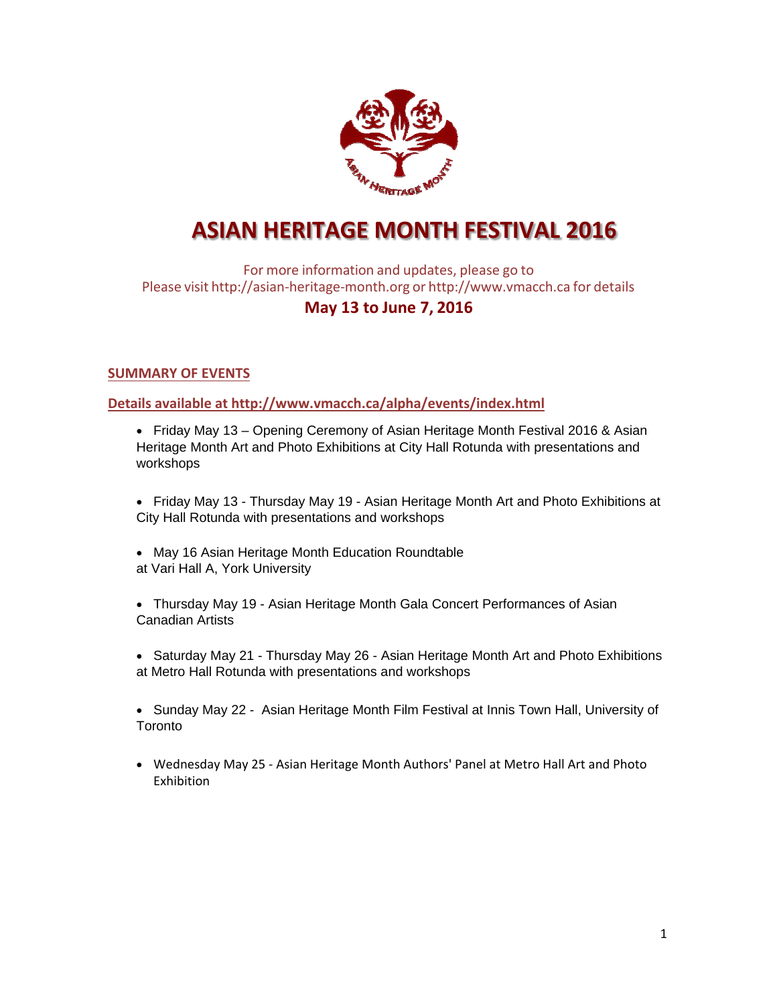

# **ASIAN HERITAGE MONTH FESTIVAL 2016**

For more information and updates, please go to Please visit http://asian‐heritage‐month.org or http://www.vmacch.ca for details

## **May 13 to June 7, 2016**

#### **SUMMARY OF EVENTS**

**Details available at http://www.vmacch.ca/alpha/events/index.html**

- Friday May 13 Opening Ceremony of Asian Heritage Month Festival 2016 & Asian Heritage Month Art and Photo Exhibitions at City Hall Rotunda with presentations and workshops
- Friday May 13 Thursday May 19 Asian Heritage Month Art and Photo Exhibitions at City Hall Rotunda with presentations and workshops
- May 16 Asian Heritage Month Education Roundtable at Vari Hall A, York University
- Thursday May 19 Asian Heritage Month Gala Concert Performances of Asian Canadian Artists
- Saturday May 21 Thursday May 26 Asian Heritage Month Art and Photo Exhibitions at Metro Hall Rotunda with presentations and workshops
- Sunday May 22 Asian Heritage Month Film Festival at Innis Town Hall, University of Toronto
- Wednesday May 25 ‐ Asian Heritage Month Authors' Panel at Metro Hall Art and Photo Exhibition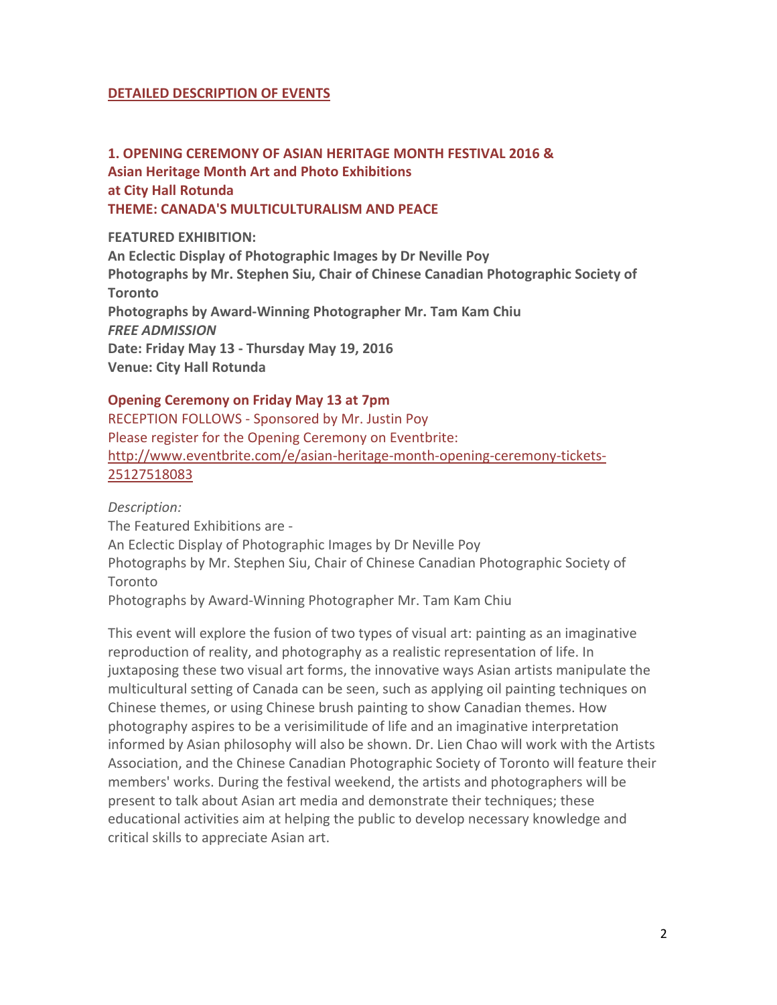#### **DETAILED DESCRIPTION OF EVENTS**

**1. OPENING CEREMONY OF ASIAN HERITAGE MONTH FESTIVAL 2016 & Asian Heritage Month Art and Photo Exhibitions at City Hall Rotunda THEME: CANADA'S MULTICULTURALISM AND PEACE**

**FEATURED EXHIBITION: An Eclectic Display of Photographic Images by Dr Neville Poy Photographs by Mr. Stephen Siu, Chair of Chinese Canadian Photographic Society of Toronto Photographs by Award‐Winning Photographer Mr. Tam Kam Chiu**  *FREE ADMISSION* **Date: Friday May 13 ‐ Thursday May 19, 2016 Venue: City Hall Rotunda**

#### **Opening Ceremony on Friday May 13 at 7pm**

RECEPTION FOLLOWS ‐ Sponsored by Mr. Justin Poy Please register for the Opening Ceremony on Eventbrite: http://www.eventbrite.com/e/asian-heritage-month-opening-ceremony-tickets-25127518083

*Description:*

The Featured Exhibitions are ‐

An Eclectic Display of Photographic Images by Dr Neville Poy

Photographs by Mr. Stephen Siu, Chair of Chinese Canadian Photographic Society of Toronto

Photographs by Award‐Winning Photographer Mr. Tam Kam Chiu

This event will explore the fusion of two types of visual art: painting as an imaginative reproduction of reality, and photography as a realistic representation of life. In juxtaposing these two visual art forms, the innovative ways Asian artists manipulate the multicultural setting of Canada can be seen, such as applying oil painting techniques on Chinese themes, or using Chinese brush painting to show Canadian themes. How photography aspires to be a verisimilitude of life and an imaginative interpretation informed by Asian philosophy will also be shown. Dr. Lien Chao will work with the Artists Association, and the Chinese Canadian Photographic Society of Toronto will feature their members' works. During the festival weekend, the artists and photographers will be present to talk about Asian art media and demonstrate their techniques; these educational activities aim at helping the public to develop necessary knowledge and critical skills to appreciate Asian art.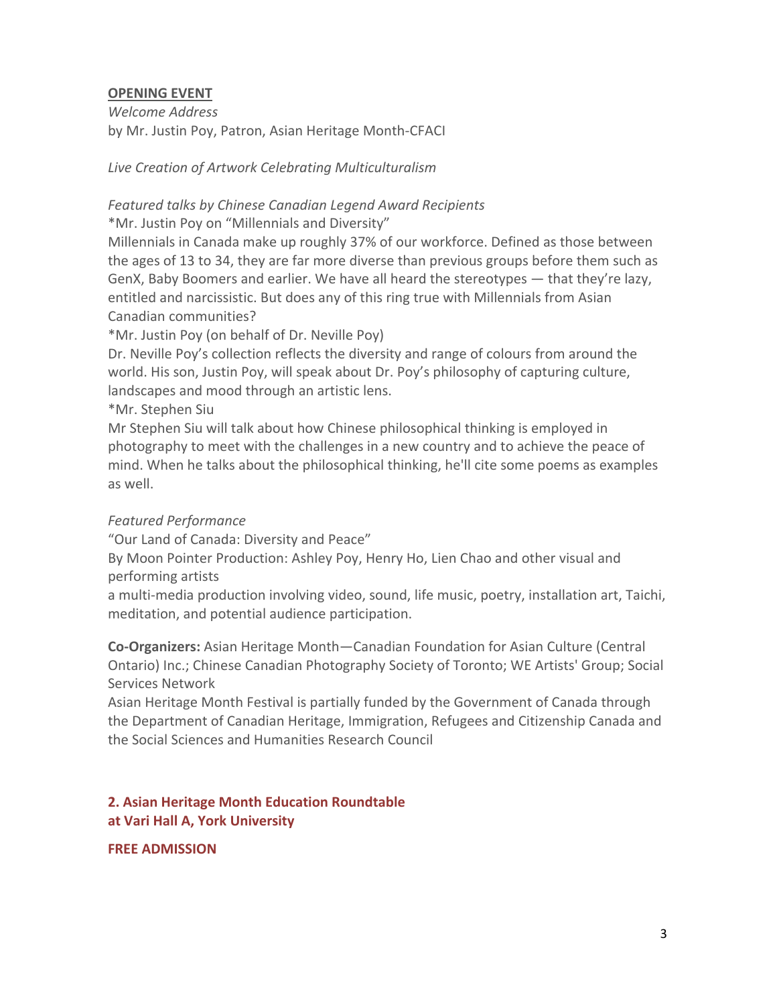## **OPENING EVENT**

*Welcome Address* by Mr. Justin Poy, Patron, Asian Heritage Month‐CFACI

*Live Creation of Artwork Celebrating Multiculturalism*

## *Featured talks by Chinese Canadian Legend Award Recipients*

\*Mr. Justin Poy on "Millennials and Diversity"

Millennials in Canada make up roughly 37% of our workforce. Defined as those between the ages of 13 to 34, they are far more diverse than previous groups before them such as GenX, Baby Boomers and earlier. We have all heard the stereotypes — that they're lazy, entitled and narcissistic. But does any of this ring true with Millennials from Asian Canadian communities?

\*Mr. Justin Poy (on behalf of Dr. Neville Poy)

Dr. Neville Poy's collection reflects the diversity and range of colours from around the world. His son, Justin Poy, will speak about Dr. Poy's philosophy of capturing culture, landscapes and mood through an artistic lens.

\*Mr. Stephen Siu

Mr Stephen Siu will talk about how Chinese philosophical thinking is employed in photography to meet with the challenges in a new country and to achieve the peace of mind. When he talks about the philosophical thinking, he'll cite some poems as examples as well.

## *Featured Performance*

"Our Land of Canada: Diversity and Peace"

By Moon Pointer Production: Ashley Poy, Henry Ho, Lien Chao and other visual and performing artists

a multi-media production involving video, sound, life music, poetry, installation art, Taichi, meditation, and potential audience participation.

**Co‐Organizers:** Asian Heritage Month—Canadian Foundation for Asian Culture (Central Ontario) Inc.; Chinese Canadian Photography Society of Toronto; WE Artists' Group; Social Services Network

Asian Heritage Month Festival is partially funded by the Government of Canada through the Department of Canadian Heritage, Immigration, Refugees and Citizenship Canada and the Social Sciences and Humanities Research Council

## **2. Asian Heritage Month Education Roundtable at Vari Hall A, York University**

## **FREE ADMISSION**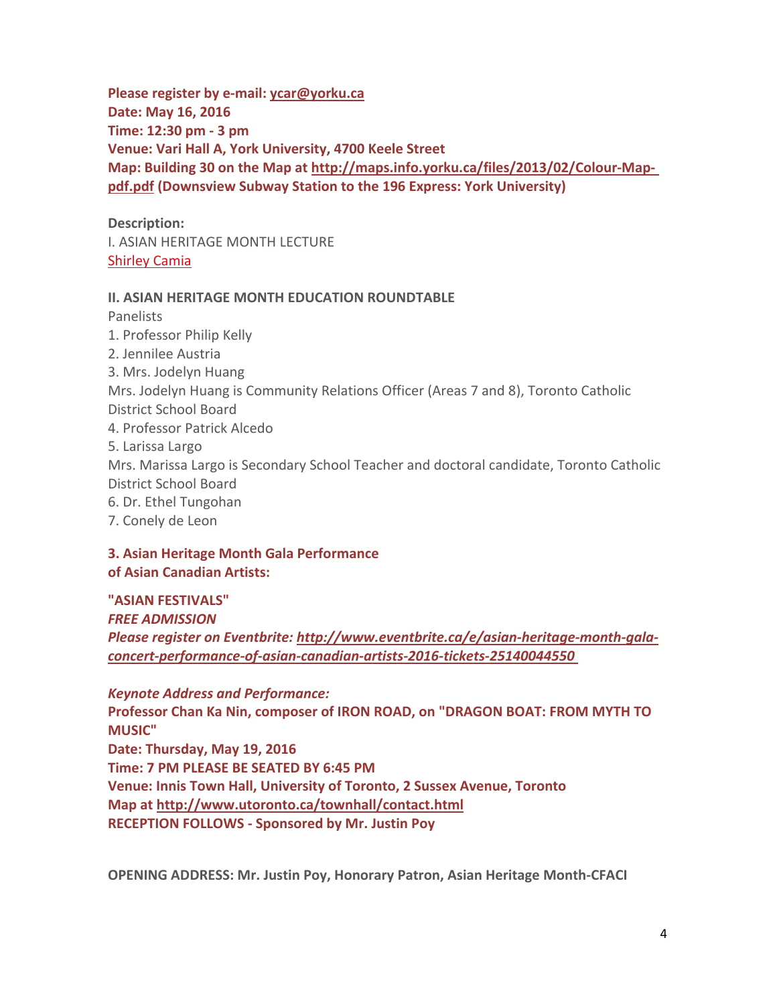**Please register by e‐mail: ycar@yorku.ca Date: May 16, 2016 Time: 12:30 pm ‐ 3 pm Venue: Vari Hall A, York University, 4700 Keele Street Map: Building 30 on the Map at http://maps.info.yorku.ca/files/2013/02/Colour‐Map‐ pdf.pdf (Downsview Subway Station to the 196 Express: York University)**

**Description:** I. ASIAN HERITAGE MONTH LECTURE Shirley Camia

#### **II. ASIAN HERITAGE MONTH EDUCATION ROUNDTABLE**

Panelists

1. Professor Philip Kelly 2. Jennilee Austria 3. Mrs. Jodelyn Huang Mrs. Jodelyn Huang is Community Relations Officer (Areas 7 and 8), Toronto Catholic District School Board 4. Professor Patrick Alcedo 5. Larissa Largo Mrs. Marissa Largo is Secondary School Teacher and doctoral candidate, Toronto Catholic District School Board

6. Dr. Ethel Tungohan

7. Conely de Leon

**3. Asian Heritage Month Gala Performance of Asian Canadian Artists:**

**"ASIAN FESTIVALS"** *FREE ADMISSION Please register on Eventbrite: http://www.eventbrite.ca/e/asian‐heritage‐month‐gala‐ concert‐performance‐of‐asian‐canadian‐artists‐2016‐tickets‐25140044550* 

*Keynote Address and Performance:* **Professor Chan Ka Nin, composer of IRON ROAD, on "DRAGON BOAT: FROM MYTH TO MUSIC" Date: Thursday, May 19, 2016 Time: 7 PM PLEASE BE SEATED BY 6:45 PM Venue: Innis Town Hall, University of Toronto, 2 Sussex Avenue, Toronto Map at http://www.utoronto.ca/townhall/contact.html RECEPTION FOLLOWS ‐ Sponsored by Mr. Justin Poy**

**OPENING ADDRESS: Mr. Justin Poy, Honorary Patron, Asian Heritage Month‐CFACI**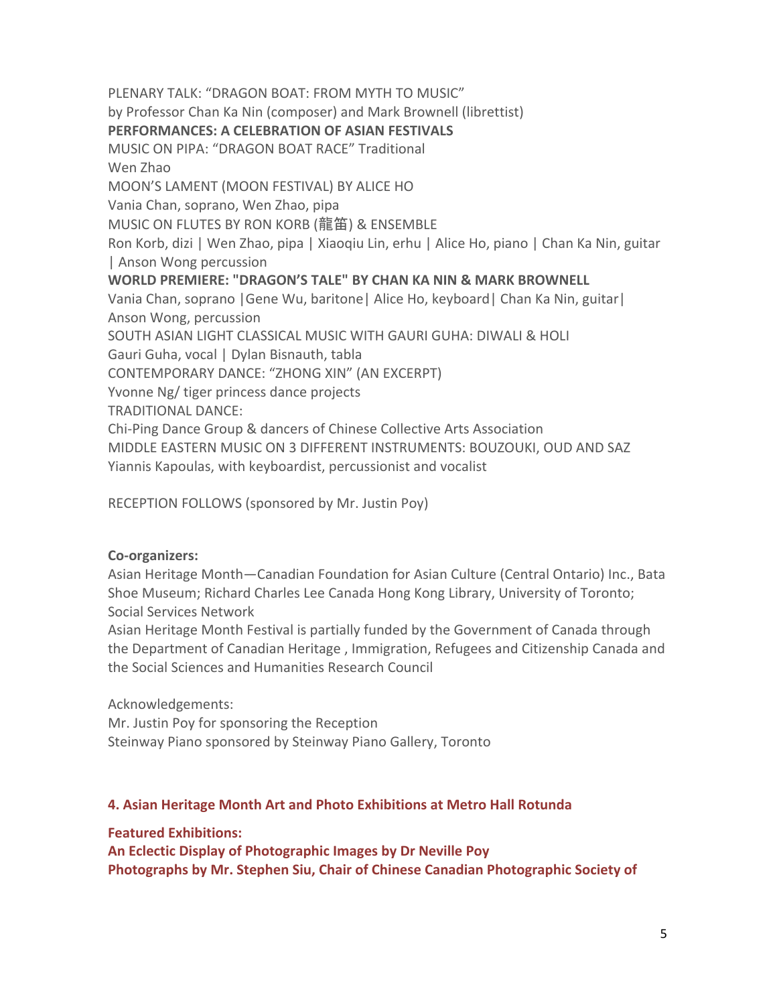PLENARY TALK: "DRAGON BOAT: FROM MYTH TO MUSIC" by Professor Chan Ka Nin (composer) and Mark Brownell (librettist) **PERFORMANCES: A CELEBRATION OF ASIAN FESTIVALS** MUSIC ON PIPA: "DRAGON BOAT RACE" Traditional Wen Zhao MOON'S LAMENT (MOON FESTIVAL) BY ALICE HO Vania Chan, soprano, Wen Zhao, pipa MUSIC ON FLUTES BY RON KORB (龍笛) & ENSEMBLE Ron Korb, dizi | Wen Zhao, pipa | Xiaoqiu Lin, erhu | Alice Ho, piano | Chan Ka Nin, guitar | Anson Wong percussion **WORLD PREMIERE: "DRAGON'S TALE" BY CHAN KA NIN & MARK BROWNELL** Vania Chan, soprano |Gene Wu, baritone| Alice Ho, keyboard| Chan Ka Nin, guitar| Anson Wong, percussion SOUTH ASIAN LIGHT CLASSICAL MUSIC WITH GAURI GUHA: DIWALI & HOLI Gauri Guha, vocal | Dylan Bisnauth, tabla CONTEMPORARY DANCE: "ZHONG XIN" (AN EXCERPT) Yvonne Ng/ tiger princess dance projects TRADITIONAL DANCE: Chi‐Ping Dance Group & dancers of Chinese Collective Arts Association MIDDLE EASTERN MUSIC ON 3 DIFFERENT INSTRUMENTS: BOUZOUKI, OUD AND SAZ Yiannis Kapoulas, with keyboardist, percussionist and vocalist

RECEPTION FOLLOWS (sponsored by Mr. Justin Poy)

## **Co‐organizers:**

Asian Heritage Month—Canadian Foundation for Asian Culture (Central Ontario) Inc., Bata Shoe Museum; Richard Charles Lee Canada Hong Kong Library, University of Toronto; Social Services Network

Asian Heritage Month Festival is partially funded by the Government of Canada through the Department of Canadian Heritage , Immigration, Refugees and Citizenship Canada and the Social Sciences and Humanities Research Council

Acknowledgements:

Mr. Justin Poy for sponsoring the Reception Steinway Piano sponsored by Steinway Piano Gallery, Toronto

## **4. Asian Heritage Month Art and Photo Exhibitions at Metro Hall Rotunda**

## **Featured Exhibitions:**

**An Eclectic Display of Photographic Images by Dr Neville Poy Photographs by Mr. Stephen Siu, Chair of Chinese Canadian Photographic Society of**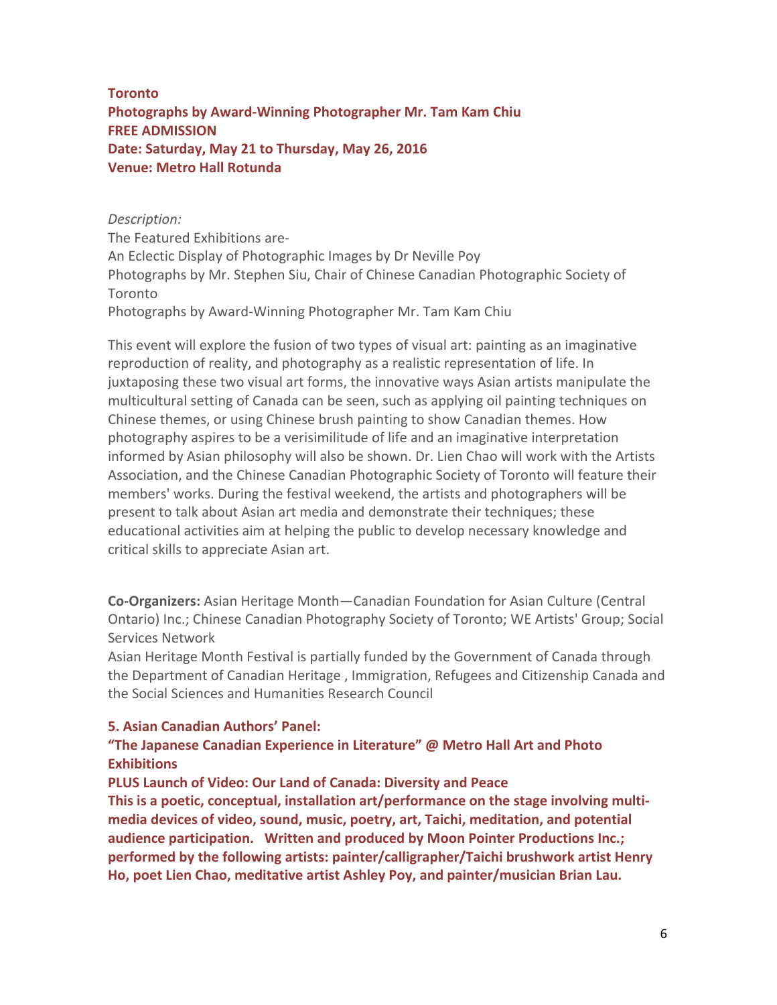## **Toronto Photographs by Award‐Winning Photographer Mr. Tam Kam Chiu FREE ADMISSION Date: Saturday, May 21 to Thursday, May 26, 2016 Venue: Metro Hall Rotunda**

*Description:*  The Featured Exhibitions are‐ An Eclectic Display of Photographic Images by Dr Neville Poy Photographs by Mr. Stephen Siu, Chair of Chinese Canadian Photographic Society of Toronto Photographs by Award‐Winning Photographer Mr. Tam Kam Chiu

This event will explore the fusion of two types of visual art: painting as an imaginative reproduction of reality, and photography as a realistic representation of life. In juxtaposing these two visual art forms, the innovative ways Asian artists manipulate the multicultural setting of Canada can be seen, such as applying oil painting techniques on Chinese themes, or using Chinese brush painting to show Canadian themes. How photography aspires to be a verisimilitude of life and an imaginative interpretation informed by Asian philosophy will also be shown. Dr. Lien Chao will work with the Artists Association, and the Chinese Canadian Photographic Society of Toronto will feature their members' works. During the festival weekend, the artists and photographers will be present to talk about Asian art media and demonstrate their techniques; these educational activities aim at helping the public to develop necessary knowledge and critical skills to appreciate Asian art.

**Co‐Organizers:** Asian Heritage Month—Canadian Foundation for Asian Culture (Central Ontario) Inc.; Chinese Canadian Photography Society of Toronto; WE Artists' Group; Social Services Network

Asian Heritage Month Festival is partially funded by the Government of Canada through the Department of Canadian Heritage , Immigration, Refugees and Citizenship Canada and the Social Sciences and Humanities Research Council

#### **5. Asian Canadian Authors' Panel:**

## **"The Japanese Canadian Experience in Literature" @ Metro Hall Art and Photo Exhibitions**

**PLUS Launch of Video: Our Land of Canada: Diversity and Peace This is a poetic, conceptual, installation art/performance on the stage involving multi‐ media devices of video, sound, music, poetry, art, Taichi, meditation, and potential audience participation. Written and produced by Moon Pointer Productions Inc.; performed by the following artists: painter/calligrapher/Taichi brushwork artist Henry Ho, poet Lien Chao, meditative artist Ashley Poy, and painter/musician Brian Lau.**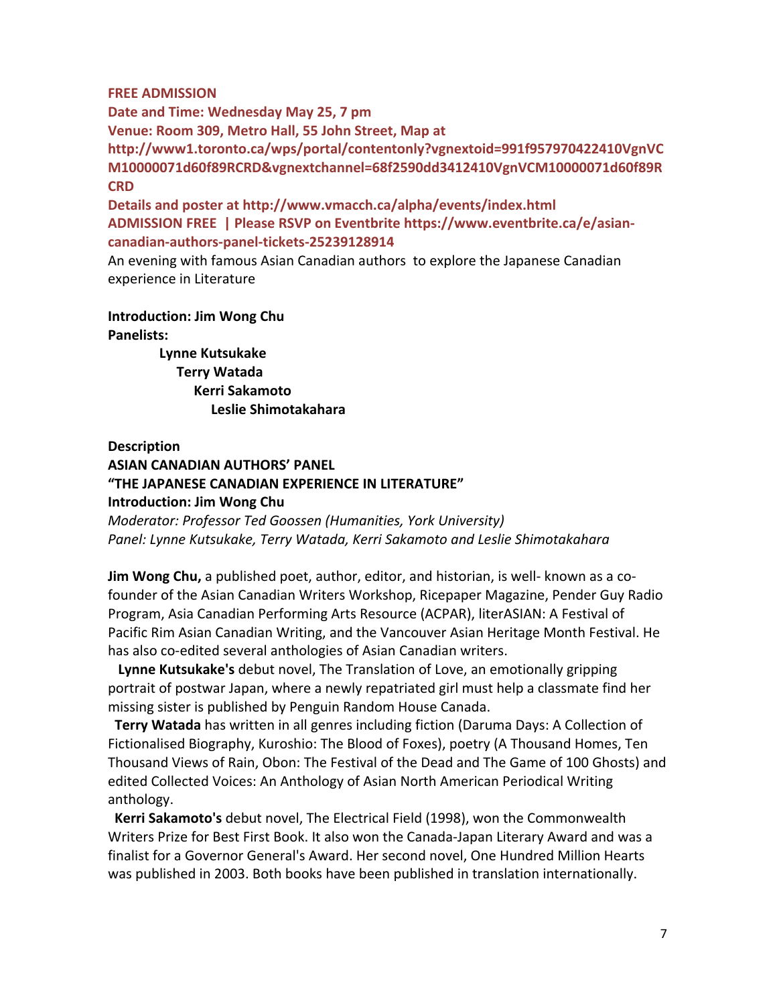#### **FREE ADMISSION**

**Date and Time: Wednesday May 25, 7 pm Venue: Room 309, Metro Hall, 55 John Street, Map at http://www1.toronto.ca/wps/portal/contentonly?vgnextoid=991f957970422410VgnVC M10000071d60f89RCRD&vgnextchannel=68f2590dd3412410VgnVCM10000071d60f89R CRD**

**Details and poster at http://www.vmacch.ca/alpha/events/index.html ADMISSION FREE | Please RSVP on Eventbrite https://www.eventbrite.ca/e/asian‐ canadian‐authors‐panel‐tickets‐25239128914**

An evening with famous Asian Canadian authors to explore the Japanese Canadian experience in Literature

#### **Introduction: Jim Wong Chu Panelists:**

 **Lynne Kutsukake Terry Watada Kerri Sakamoto Leslie Shimotakahara** 

#### **Description**

## **ASIAN CANADIAN AUTHORS' PANEL "THE JAPANESE CANADIAN EXPERIENCE IN LITERATURE" Introduction: Jim Wong Chu**

*Moderator: Professor Ted Goossen (Humanities, York University) Panel: Lynne Kutsukake, Terry Watada, Kerri Sakamoto and Leslie Shimotakahara*

**Jim Wong Chu,** a published poet, author, editor, and historian, is well‐ known as a co‐ founder of the Asian Canadian Writers Workshop, Ricepaper Magazine, Pender Guy Radio Program, Asia Canadian Performing Arts Resource (ACPAR), literASIAN: A Festival of Pacific Rim Asian Canadian Writing, and the Vancouver Asian Heritage Month Festival. He has also co-edited several anthologies of Asian Canadian writers.

 **Lynne Kutsukake's** debut novel, The Translation of Love, an emotionally gripping portrait of postwar Japan, where a newly repatriated girl must help a classmate find her missing sister is published by Penguin Random House Canada.

 **Terry Watada** has written in all genres including fiction (Daruma Days: A Collection of Fictionalised Biography, Kuroshio: The Blood of Foxes), poetry (A Thousand Homes, Ten Thousand Views of Rain, Obon: The Festival of the Dead and The Game of 100 Ghosts) and edited Collected Voices: An Anthology of Asian North American Periodical Writing anthology.

 **Kerri Sakamoto's** debut novel, The Electrical Field (1998), won the Commonwealth Writers Prize for Best First Book. It also won the Canada‐Japan Literary Award and was a finalist for a Governor General's Award. Her second novel, One Hundred Million Hearts was published in 2003. Both books have been published in translation internationally.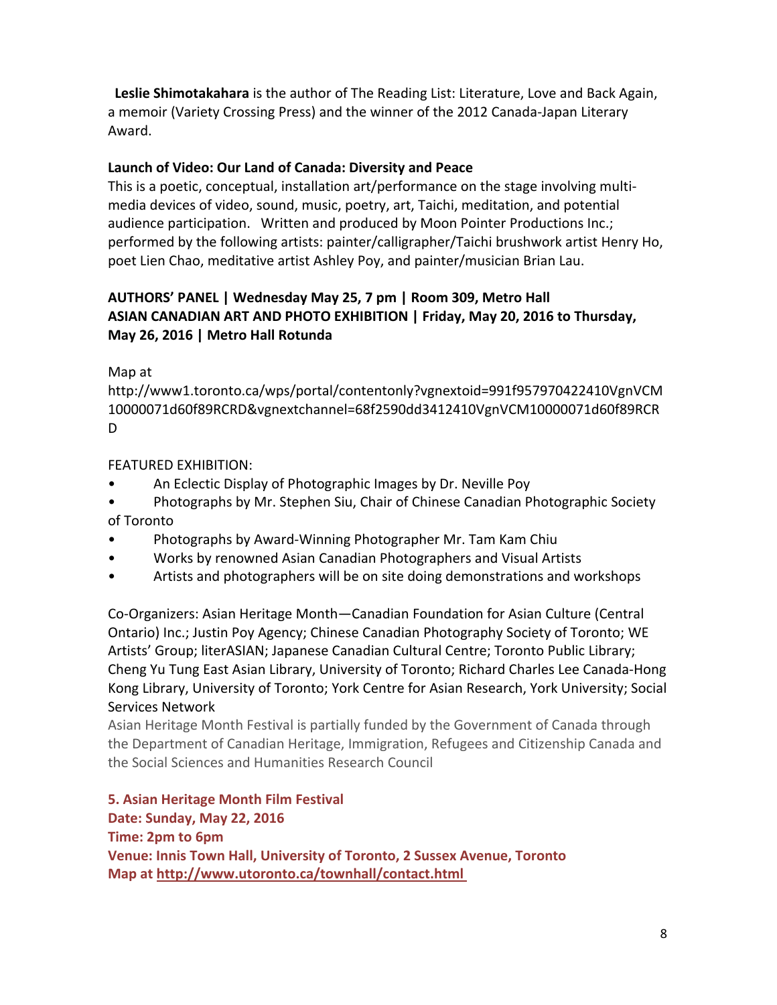**Leslie Shimotakahara** is the author of The Reading List: Literature, Love and Back Again, a memoir (Variety Crossing Press) and the winner of the 2012 Canada‐Japan Literary Award.

## **Launch of Video: Our Land of Canada: Diversity and Peace**

This is a poetic, conceptual, installation art/performance on the stage involving multi‐ media devices of video, sound, music, poetry, art, Taichi, meditation, and potential audience participation. Written and produced by Moon Pointer Productions Inc.; performed by the following artists: painter/calligrapher/Taichi brushwork artist Henry Ho, poet Lien Chao, meditative artist Ashley Poy, and painter/musician Brian Lau.

## **AUTHORS' PANEL | Wednesday May 25, 7 pm | Room 309, Metro Hall ASIAN CANADIAN ART AND PHOTO EXHIBITION | Friday, May 20, 2016 to Thursday, May 26, 2016 | Metro Hall Rotunda**

Map at

http://www1.toronto.ca/wps/portal/contentonly?vgnextoid=991f957970422410VgnVCM 10000071d60f89RCRD&vgnextchannel=68f2590dd3412410VgnVCM10000071d60f89RCR D

FEATURED EXHIBITION:

- An Eclectic Display of Photographic Images by Dr. Neville Poy
- Photographs by Mr. Stephen Siu, Chair of Chinese Canadian Photographic Society of Toronto
- Photographs by Award‐Winning Photographer Mr. Tam Kam Chiu
- Works by renowned Asian Canadian Photographers and Visual Artists
- Artists and photographers will be on site doing demonstrations and workshops

Co‐Organizers: Asian Heritage Month—Canadian Foundation for Asian Culture (Central Ontario) Inc.; Justin Poy Agency; Chinese Canadian Photography Society of Toronto; WE Artists' Group; literASIAN; Japanese Canadian Cultural Centre; Toronto Public Library; Cheng Yu Tung East Asian Library, University of Toronto; Richard Charles Lee Canada‐Hong Kong Library, University of Toronto; York Centre for Asian Research, York University; Social Services Network

Asian Heritage Month Festival is partially funded by the Government of Canada through the Department of Canadian Heritage, Immigration, Refugees and Citizenship Canada and the Social Sciences and Humanities Research Council

**5. Asian Heritage Month Film Festival Date: Sunday, May 22, 2016 Time: 2pm to 6pm Venue: Innis Town Hall, University of Toronto, 2 Sussex Avenue, Toronto Map at http://www.utoronto.ca/townhall/contact.html**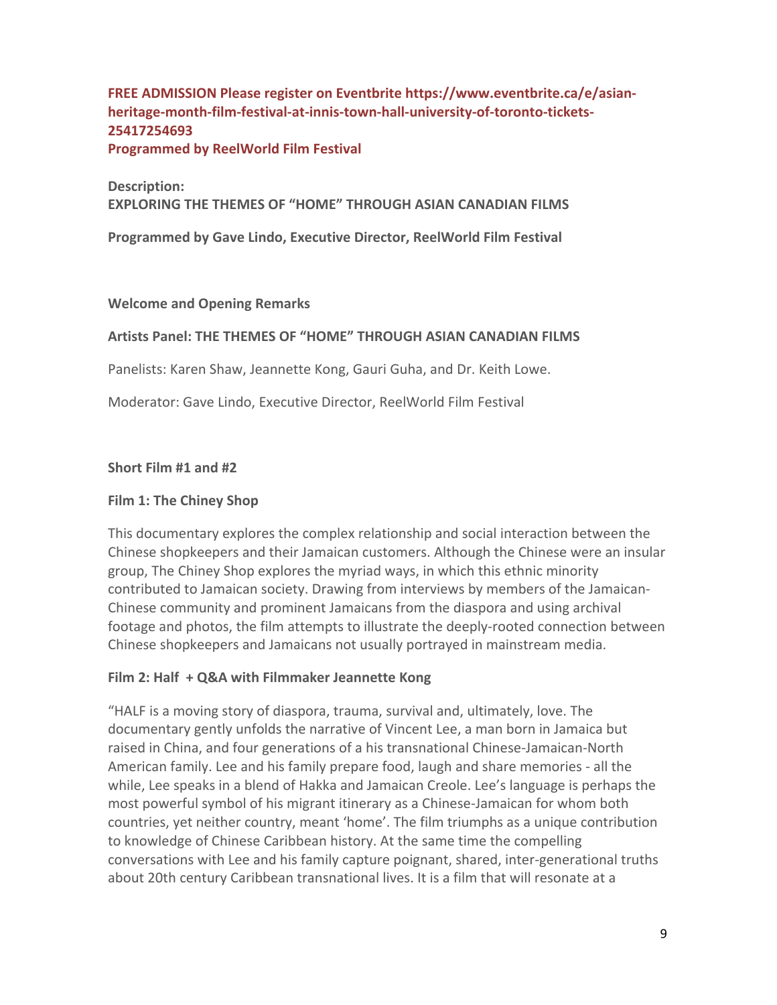## **FREE ADMISSION Please register on Eventbrite https://www.eventbrite.ca/e/asian‐** heritage-month-film-festival-at-innis-town-hall-university-of-toronto-tickets-**25417254693**

**Programmed by ReelWorld Film Festival**

**Description: EXPLORING THE THEMES OF "HOME" THROUGH ASIAN CANADIAN FILMS**

**Programmed by Gave Lindo, Executive Director, ReelWorld Film Festival**

#### **Welcome and Opening Remarks**

## **Artists Panel: THE THEMES OF "HOME" THROUGH ASIAN CANADIAN FILMS**

Panelists: Karen Shaw, Jeannette Kong, Gauri Guha, and Dr. Keith Lowe.

Moderator: Gave Lindo, Executive Director, ReelWorld Film Festival

### **Short Film #1 and #2**

#### **Film 1: The Chiney Shop**

This documentary explores the complex relationship and social interaction between the Chinese shopkeepers and their Jamaican customers. Although the Chinese were an insular group, The Chiney Shop explores the myriad ways, in which this ethnic minority contributed to Jamaican society. Drawing from interviews by members of the Jamaican‐ Chinese community and prominent Jamaicans from the diaspora and using archival footage and photos, the film attempts to illustrate the deeply-rooted connection between Chinese shopkeepers and Jamaicans not usually portrayed in mainstream media.

#### **Film 2: Half + Q&A with Filmmaker Jeannette Kong**

"HALF is a moving story of diaspora, trauma, survival and, ultimately, love. The documentary gently unfolds the narrative of Vincent Lee, a man born in Jamaica but raised in China, and four generations of a his transnational Chinese‐Jamaican‐North American family. Lee and his family prepare food, laugh and share memories ‐ all the while, Lee speaks in a blend of Hakka and Jamaican Creole. Lee's language is perhaps the most powerful symbol of his migrant itinerary as a Chinese‐Jamaican for whom both countries, yet neither country, meant 'home'. The film triumphs as a unique contribution to knowledge of Chinese Caribbean history. At the same time the compelling conversations with Lee and his family capture poignant, shared, inter‐generational truths about 20th century Caribbean transnational lives. It is a film that will resonate at a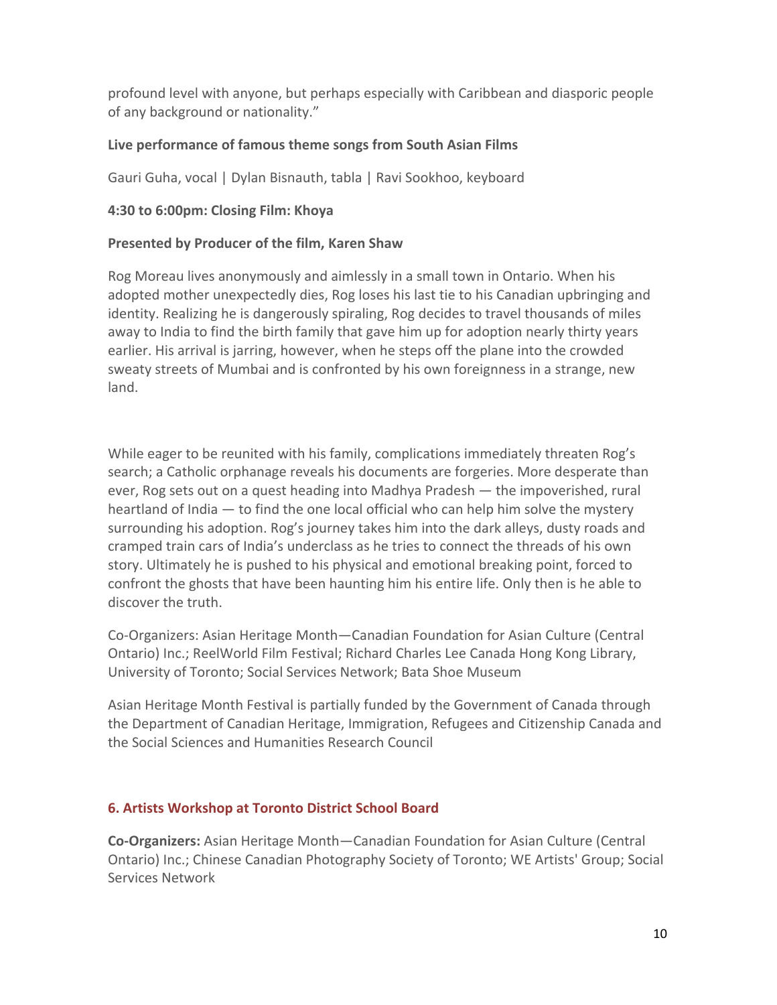profound level with anyone, but perhaps especially with Caribbean and diasporic people of any background or nationality."

## **Live performance of famous theme songs from South Asian Films**

Gauri Guha, vocal | Dylan Bisnauth, tabla | Ravi Sookhoo, keyboard

## **4:30 to 6:00pm: Closing Film: Khoya**

## **Presented by Producer of the film, Karen Shaw**

Rog Moreau lives anonymously and aimlessly in a small town in Ontario. When his adopted mother unexpectedly dies, Rog loses his last tie to his Canadian upbringing and identity. Realizing he is dangerously spiraling, Rog decides to travel thousands of miles away to India to find the birth family that gave him up for adoption nearly thirty years earlier. His arrival is jarring, however, when he steps off the plane into the crowded sweaty streets of Mumbai and is confronted by his own foreignness in a strange, new land.

While eager to be reunited with his family, complications immediately threaten Rog's search; a Catholic orphanage reveals his documents are forgeries. More desperate than ever, Rog sets out on a quest heading into Madhya Pradesh — the impoverished, rural heartland of India — to find the one local official who can help him solve the mystery surrounding his adoption. Rog's journey takes him into the dark alleys, dusty roads and cramped train cars of India's underclass as he tries to connect the threads of his own story. Ultimately he is pushed to his physical and emotional breaking point, forced to confront the ghosts that have been haunting him his entire life. Only then is he able to discover the truth.

Co‐Organizers: Asian Heritage Month—Canadian Foundation for Asian Culture (Central Ontario) Inc.; ReelWorld Film Festival; Richard Charles Lee Canada Hong Kong Library, University of Toronto; Social Services Network; Bata Shoe Museum

Asian Heritage Month Festival is partially funded by the Government of Canada through the Department of Canadian Heritage, Immigration, Refugees and Citizenship Canada and the Social Sciences and Humanities Research Council

## **6. Artists Workshop at Toronto District School Board**

**Co‐Organizers:** Asian Heritage Month—Canadian Foundation for Asian Culture (Central Ontario) Inc.; Chinese Canadian Photography Society of Toronto; WE Artists' Group; Social Services Network